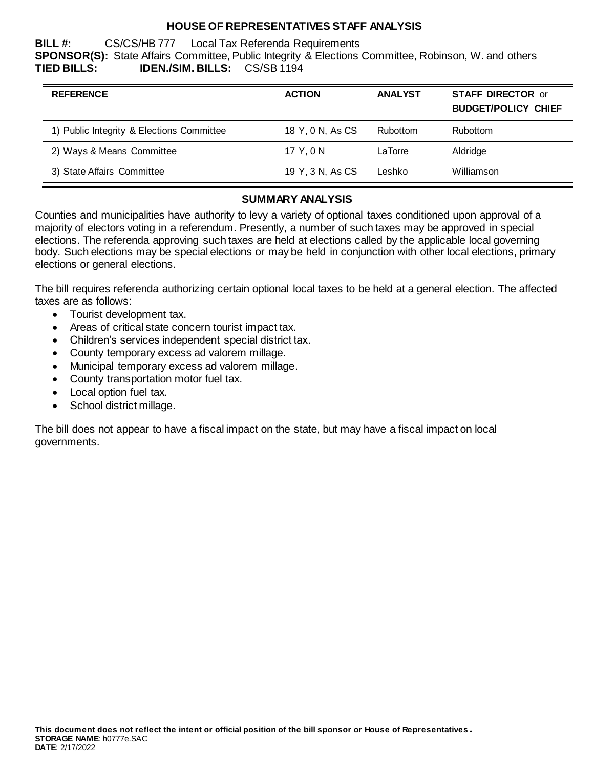### **HOUSE OF REPRESENTATIVES STAFF ANALYSIS**

**BILL #:** CS/CS/HB 777 Local Tax Referenda Requirements **SPONSOR(S):** State Affairs Committee, Public Integrity & Elections Committee, Robinson, W. and others **TIED BILLS: IDEN./SIM. BILLS:** CS/SB 1194

| <b>ACTION</b>    | <b>ANALYST</b> | <b>STAFF DIRECTOR or</b><br><b>BUDGET/POLICY CHIEF</b> |
|------------------|----------------|--------------------------------------------------------|
| 18 Y, 0 N, As CS | Rubottom       | <b>Rubottom</b>                                        |
| 17 Y.ON          | LaTorre        | Aldridge                                               |
| 19 Y, 3 N, As CS | Leshko         | Williamson                                             |
|                  |                |                                                        |

#### **SUMMARY ANALYSIS**

Counties and municipalities have authority to levy a variety of optional taxes conditioned upon approval of a majority of electors voting in a referendum. Presently, a number of such taxes may be approved in special elections. The referenda approving such taxes are held at elections called by the applicable local governing body. Such elections may be special elections or may be held in conjunction with other local elections, primary elections or general elections.

The bill requires referenda authorizing certain optional local taxes to be held at a general election. The affected taxes are as follows:

- Tourist development tax.
- Areas of critical state concern tourist impact tax.
- Children's services independent special district tax.
- County temporary excess ad valorem millage.
- Municipal temporary excess ad valorem millage.
- County transportation motor fuel tax.
- Local option fuel tax.
- School district millage.

The bill does not appear to have a fiscal impact on the state, but may have a fiscal impact on local governments.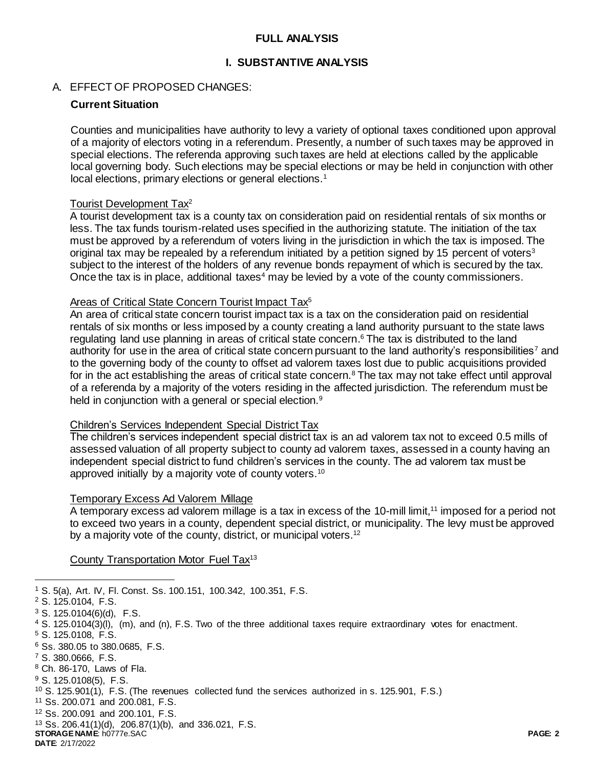### **FULL ANALYSIS**

#### **I. SUBSTANTIVE ANALYSIS**

#### A. EFFECT OF PROPOSED CHANGES:

### **Current Situation**

Counties and municipalities have authority to levy a variety of optional taxes conditioned upon approval of a majority of electors voting in a referendum. Presently, a number of such taxes may be approved in special elections. The referenda approving such taxes are held at elections called by the applicable local governing body. Such elections may be special elections or may be held in conjunction with other local elections, primary elections or general elections.<sup>1</sup>

### Tourist Development Tax<sup>2</sup>

A tourist development tax is a county tax on consideration paid on residential rentals of six months or less. The tax funds tourism-related uses specified in the authorizing statute. The initiation of the tax must be approved by a referendum of voters living in the jurisdiction in which the tax is imposed. The original tax may be repealed by a referendum initiated by a petition signed by 15 percent of voters<sup>3</sup> subject to the interest of the holders of any revenue bonds repayment of which is secured by the tax. Once the tax is in place, additional taxes<sup>4</sup> may be levied by a vote of the county commissioners.

### Areas of Critical State Concern Tourist Impact Tax<sup>5</sup>

An area of critical state concern tourist impact tax is a tax on the consideration paid on residential rentals of six months or less imposed by a county creating a land authority pursuant to the state laws regulating land use planning in areas of critical state concern. <sup>6</sup> The tax is distributed to the land authority for use in the area of critical state concern pursuant to the land authority's responsibilities<sup>7</sup> and to the governing body of the county to offset ad valorem taxes lost due to public acquisitions provided for in the act establishing the areas of critical state concern.<sup>8</sup> The tax may not take effect until approval of a referenda by a majority of the voters residing in the affected jurisdiction. The referendum must be held in conjunction with a general or special election.<sup>9</sup>

### Children's Services Independent Special District Tax

The children's services independent special district tax is an ad valorem tax not to exceed 0.5 mills of assessed valuation of all property subject to county ad valorem taxes, assessed in a county having an independent special district to fund children's services in the county. The ad valorem tax must be approved initially by a majority vote of county voters.<sup>10</sup>

#### Temporary Excess Ad Valorem Millage

A temporary excess ad valorem millage is a tax in excess of the 10-mill limit,<sup>11</sup> imposed for a period not to exceed two years in a county, dependent special district, or municipality. The levy must be approved by a majority vote of the county, district, or municipal voters.<sup>12</sup>

### County Transportation Motor Fuel Tax<sup>13</sup>

**DATE**: 2/17/2022

 $\overline{a}$ <sup>1</sup> S. 5(a), Art. IV, Fl. Const. Ss. 100.151, 100.342, 100.351, F.S.

<sup>2</sup> S. 125.0104, F.S.

 $3$  S. 125.0104(6)(d), F.S.

<sup>4</sup> S. 125.0104(3)(l), (m), and (n), F.S. Two of the three additional taxes require extraordinary votes for enactment.

<sup>5</sup> S. 125.0108, F.S.

<sup>6</sup> Ss. 380.05 to 380.0685, F.S.

<sup>7</sup> S. 380.0666, F.S.

<sup>8</sup> Ch. 86-170, Laws of Fla.

<sup>9</sup> S. 125.0108(5), F.S.

<sup>10</sup> S. 125.901(1), F.S. (The revenues collected fund the services authorized in s. 125.901, F.S.)

<sup>11</sup> Ss. 200.071 and 200.081, F.S.

<sup>12</sup> Ss. 200.091 and 200.101, F.S.

**STORAGE NAME**: h0777e.SAC **PAGE: 2** <sup>13</sup> Ss. 206.41(1)(d), 206.87(1)(b), and 336.021, F.S.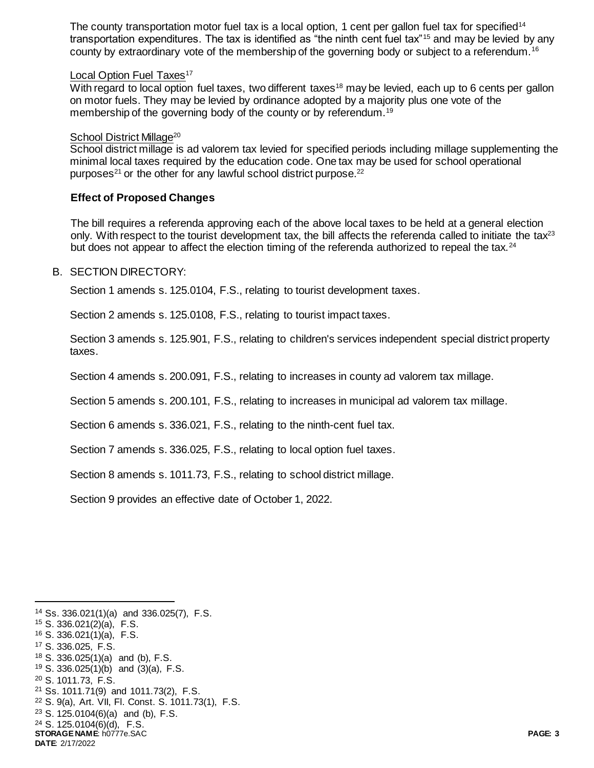The county transportation motor fuel tax is a local option, 1 cent per gallon fuel tax for specified<sup>14</sup> transportation expenditures. The tax is identified as "the ninth cent fuel tax"<sup>15</sup> and may be levied by any county by extraordinary vote of the membership of the governing body or subject to a referendum.<sup>16</sup>

#### Local Option Fuel Taxes<sup>17</sup>

With regard to local option fuel taxes, two different taxes<sup>18</sup> may be levied, each up to 6 cents per gallon on motor fuels. They may be levied by ordinance adopted by a majority plus one vote of the membership of the governing body of the county or by referendum.<sup>19</sup>

### School District Millage<sup>20</sup>

School district millage is ad valorem tax levied for specified periods including millage supplementing the minimal local taxes required by the education code. One tax may be used for school operational purposes<sup>21</sup> or the other for any lawful school district purpose.<sup>22</sup>

### **Effect of Proposed Changes**

The bill requires a referenda approving each of the above local taxes to be held at a general election only. With respect to the tourist development tax, the bill affects the referenda called to initiate the tax $^{23}$ but does not appear to affect the election timing of the referenda authorized to repeal the tax.<sup>24</sup>

### B. SECTION DIRECTORY:

Section 1 amends s. 125.0104, F.S., relating to tourist development taxes.

Section 2 amends s. 125.0108, F.S., relating to tourist impact taxes.

Section 3 amends s. 125.901, F.S., relating to children's services independent special district property taxes.

Section 4 amends s. 200.091, F.S., relating to increases in county ad valorem tax millage.

Section 5 amends s. 200.101, F.S., relating to increases in municipal ad valorem tax millage.

Section 6 amends s. 336.021, F.S., relating to the ninth-cent fuel tax.

Section 7 amends s. 336.025, F.S., relating to local option fuel taxes.

Section 8 amends s. 1011.73, F.S., relating to school district millage.

Section 9 provides an effective date of October 1, 2022.

<sup>14</sup> Ss. 336.021(1)(a) and 336.025(7), F.S.

<sup>15</sup> S. 336.021(2)(a), F.S.

l

**STORAGE NAME**: h0777e.SAC **PAGE: 3 DATE**: 2/17/2022 <sup>16</sup> S. 336.021(1)(a), F.S. <sup>17</sup> S. 336.025, F.S. <sup>18</sup> S. 336.025(1)(a) and (b), F.S. <sup>19</sup> S. 336.025(1)(b) and (3)(a), F.S. <sup>20</sup> S. 1011.73, F.S. <sup>21</sup> Ss. 1011.71(9) and 1011.73(2), F.S. <sup>22</sup> S. 9(a), Art. VII, Fl. Const. S. 1011.73(1), F.S. <sup>23</sup> S. 125.0104(6)(a) and (b), F.S. <sup>24</sup> S. 125.0104(6)(d), F.S.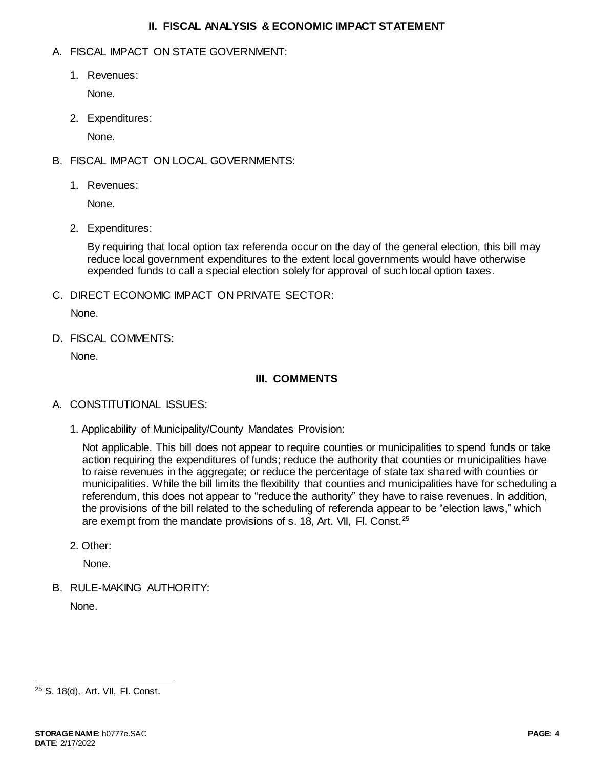### **II. FISCAL ANALYSIS & ECONOMIC IMPACT STATEMENT**

# A. FISCAL IMPACT ON STATE GOVERNMENT:

1. Revenues:

None.

2. Expenditures:

None.

- B. FISCAL IMPACT ON LOCAL GOVERNMENTS:
	- 1. Revenues:

None.

2. Expenditures:

By requiring that local option tax referenda occur on the day of the general election, this bill may reduce local government expenditures to the extent local governments would have otherwise expended funds to call a special election solely for approval of such local option taxes.

C. DIRECT ECONOMIC IMPACT ON PRIVATE SECTOR:

None.

D. FISCAL COMMENTS:

None.

# **III. COMMENTS**

- A. CONSTITUTIONAL ISSUES:
	- 1. Applicability of Municipality/County Mandates Provision:

Not applicable. This bill does not appear to require counties or municipalities to spend funds or take action requiring the expenditures of funds; reduce the authority that counties or municipalities have to raise revenues in the aggregate; or reduce the percentage of state tax shared with counties or municipalities. While the bill limits the flexibility that counties and municipalities have for scheduling a referendum, this does not appear to "reduce the authority" they have to raise revenues. In addition, the provisions of the bill related to the scheduling of referenda appear to be "election laws," which are exempt from the mandate provisions of s. 18, Art. VII, Fl. Const.<sup>25</sup>

2. Other:

None.

B. RULE-MAKING AUTHORITY:

None.

l

<sup>25</sup> S. 18(d), Art. VII, Fl. Const.